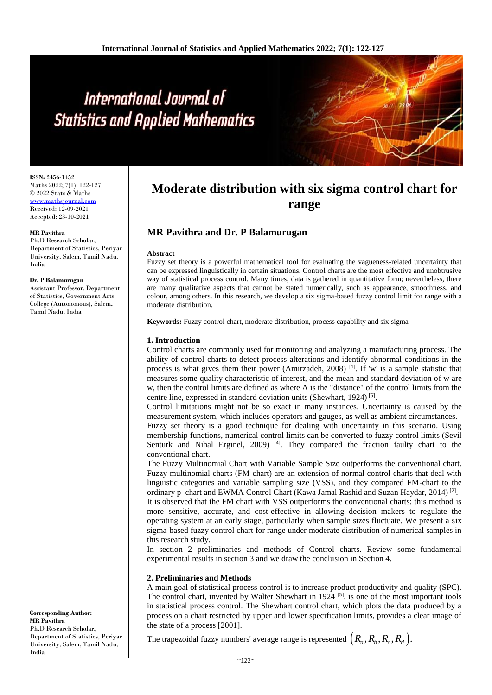# International Journal of **Statistics and Applied Mathematics**

**ISSN:** 2456-1452 Maths 2022; 7(1): 122-127 © 2022 Stats & Maths <www.mathsjournal.com> Received: 12-09-2021 Accepted: 23-10-2021

#### **MR Pavithra**

Ph.D Research Scholar, Department of Statistics, Periyar University, Salem, Tamil Nadu, India

#### **Dr. P Balamurugan**

Assistant Professor, Department of Statistics, Government Arts College (Autonomous), Salem, Tamil Nadu, India

#### **Corresponding Author: MR Pavithra** Ph.D Research Scholar, Department of Statistics, Periyar University, Salem, Tamil Nadu, India

## **Moderate distribution with six sigma control chart for range**

### **MR Pavithra and Dr. P Balamurugan**

#### **Abstract**

Fuzzy set theory is a powerful mathematical tool for evaluating the vagueness-related uncertainty that can be expressed linguistically in certain situations. Control charts are the most effective and unobtrusive way of statistical process control. Many times, data is gathered in quantitative form; nevertheless, there are many qualitative aspects that cannot be stated numerically, such as appearance, smoothness, and colour, among others. In this research, we develop a six sigma-based fuzzy control limit for range with a moderate distribution.

**Keywords:** Fuzzy control chart, moderate distribution, process capability and six sigma

#### **1. Introduction**

Control charts are commonly used for monitoring and analyzing a manufacturing process. The ability of control charts to detect process alterations and identify abnormal conditions in the process is what gives them their power (Amirzadeh, 2008)<sup>[1]</sup>. If 'w' is a sample statistic that measures some quality characteristic of interest, and the mean and standard deviation of w are w, then the control limits are defined as where A is the "distance" of the control limits from the centre line, expressed in standard deviation units (Shewhart, 1924)<sup>[5]</sup>.

Control limitations might not be so exact in many instances. Uncertainty is caused by the measurement system, which includes operators and gauges, as well as ambient circumstances. Fuzzy set theory is a good technique for dealing with uncertainty in this scenario. Using membership functions, numerical control limits can be converted to fuzzy control limits (Sevil Senturk and Nihal Erginel, 2009)<sup>[4]</sup>. They compared the fraction faulty chart to the conventional chart.

The Fuzzy Multinomial Chart with Variable Sample Size outperforms the conventional chart. Fuzzy multinomial charts (FM-chart) are an extension of normal control charts that deal with linguistic categories and variable sampling size (VSS), and they compared FM-chart to the ordinary p-chart and EWMA Control Chart (Kawa Jamal Rashid and Suzan Haydar, 2014)<sup>[2]</sup>.

It is observed that the FM chart with VSS outperforms the conventional charts; this method is more sensitive, accurate, and cost-effective in allowing decision makers to regulate the operating system at an early stage, particularly when sample sizes fluctuate. We present a six sigma-based fuzzy control chart for range under moderate distribution of numerical samples in this research study.

In section 2 preliminaries and methods of Control charts. Review some fundamental experimental results in section 3 and we draw the conclusion in Section 4.

#### **2. Preliminaries and Methods**

A main goal of statistical process control is to increase product productivity and quality (SPC). The control chart, invented by Walter Shewhart in 1924 <sup>[5]</sup>, is one of the most important tools in statistical process control. The Shewhart control chart, which plots the data produced by a process on a chart restricted by upper and lower specification limits, provides a clear image of the state of a process [2001].

The trapezoidal fuzzy numbers' average range is represented  $(\overline{R}_a, \overline{R}_b, \overline{R}_c, \overline{R}_d)$ .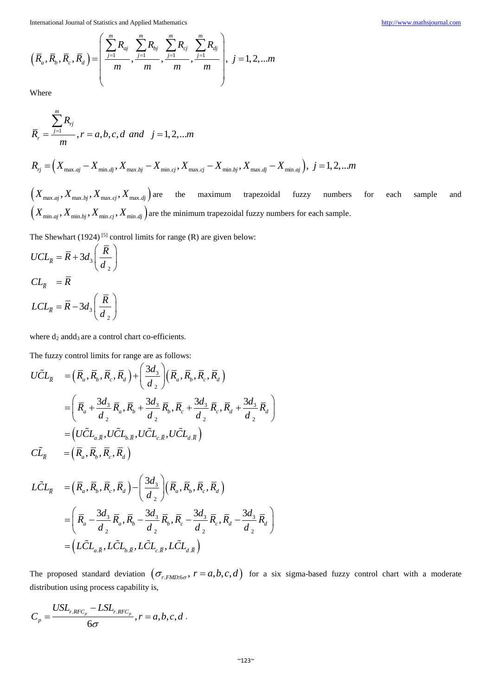International Journal of Statistics and Applied Mathematics\n
$$
\left(\overline{R}_a, \overline{R}_b, \overline{R}_c, \overline{R}_d\right) = \left(\frac{\sum_{j=1}^m R_{aj}}{m}, \frac{\sum_{j=1}^m R_{bj}}{m}, \frac{\sum_{j=1}^m R_{cj}}{m}, \frac{\sum_{j=1}^m R_{aj}}{m}\right), j = 1, 2, ... m
$$
\nWhere

Where

$$
\overline{R}_r = \frac{\sum_{j=1}^{m} R_{rj}}{m}, r = a, b, c, d \text{ and } j = 1, 2, \dots m
$$
\n
$$
R_{rj} = (X_{\max.aj} - X_{\min.dj}, X_{\max.bj} - X_{\min.cj}, X_{\max.aj} - X_{\min.bj}, X_{\max.dj} - X_{\min.aj}), j = 1, 2, \dots m
$$
\n
$$
(X_{\max.aj}, X_{\max.bj}, X_{\max.cj}, X_{\max.dj})
$$
 are the maximum trapezoidal fuzzy numbers for each sample and\n
$$
(X_{\min.aj}, X_{\min.bj}, X_{\min.aj}, X_{\min.aj})
$$
 are the minimum trapezoidal fuzzy numbers for each sample.

The Shewhart  $(1924)$ <sup>[5]</sup> control limits for range  $(R)$  are given below:

$$
UCL_{\overline{R}} = \overline{R} + 3d_3 \left(\frac{\overline{R}}{d_2}\right)
$$
  

$$
CL_{\overline{R}} = \overline{R}
$$
  

$$
LCL_{\overline{R}} = \overline{R} - 3d_3 \left(\frac{\overline{R}}{d_2}\right)
$$

where  $d_2$  and $d_3$  are a control chart co-efficients.

where 
$$
d_2
$$
 and  $d_3$  are a contour chart coefficients.

\nThe fuzzy control limits for range are as follows:

\n
$$
U\tilde{C}L_{\overline{R}} = \left(\overline{R}_a, \overline{R}_b, \overline{R}_c, \overline{R}_d\right) + \left(\frac{3d_3}{d_2}\right) \left(\overline{R}_a, \overline{R}_b, \overline{R}_c, \overline{R}_d\right)
$$
\n
$$
= \left(\overline{R}_a + \frac{3d_3}{d_2}\overline{R}_a, \overline{R}_b + \frac{3d_3}{d_2}\overline{R}_b, \overline{R}_c + \frac{3d_3}{d_2}\overline{R}_c, \overline{R}_d + \frac{3d_3}{d_2}\overline{R}_d\right)
$$
\n
$$
= \left(U\tilde{C}L_{a,\overline{R}}, U\tilde{C}L_{b,\overline{R}}, U\tilde{C}L_{c,\overline{R}}, U\tilde{C}L_{d,\overline{R}}\right)
$$
\n
$$
C\tilde{L}_{\overline{R}} = \left(\overline{R}_a, \overline{R}_b, \overline{R}_c, \overline{R}_d\right)
$$
\n
$$
L\tilde{C}L_{\overline{R}} = \left(\overline{R}_a, \overline{R}_b, \overline{R}_c, \overline{R}_d\right) - \left(\frac{3d_3}{d_2}\right) \left(\overline{R}_a, \overline{R}_b, \overline{R}_c, \overline{R}_c\right)
$$

$$
L\tilde{C}L_{\overline{R}} = (\overline{R}_a, \overline{R}_b, \overline{R}_c, \overline{R}_d) - \left(\frac{3d_3}{d_2}\right)(\overline{R}_a, \overline{R}_b, \overline{R}_c, \overline{R}_d)
$$
  

$$
= \left(\overline{R}_a - \frac{3d_3}{d_2}\overline{R}_a, \overline{R}_b - \frac{3d_3}{d_2}\overline{R}_b, \overline{R}_c - \frac{3d_3}{d_2}\overline{R}_c, \overline{R}_d - \frac{3d_3}{d_2}\overline{R}_d\right)
$$
  

$$
= \left(L\tilde{C}L_{a,\overline{R}}, L\tilde{C}L_{b,\overline{R}}, L\tilde{C}L_{c,\overline{R}}, L\tilde{C}L_{d,\overline{R}}\right)
$$

The proposed standard deviation  $(\sigma_{r, FMD:6\sigma}, r = a, b, c, d)$  for a six sigma-based fuzzy control chart with a moderate distribution using process capability is,

$$
C_p = \frac{USL_{r, RFC_p} - LSL_{r, RFC_p}}{6\sigma}, r = a, b, c, d.
$$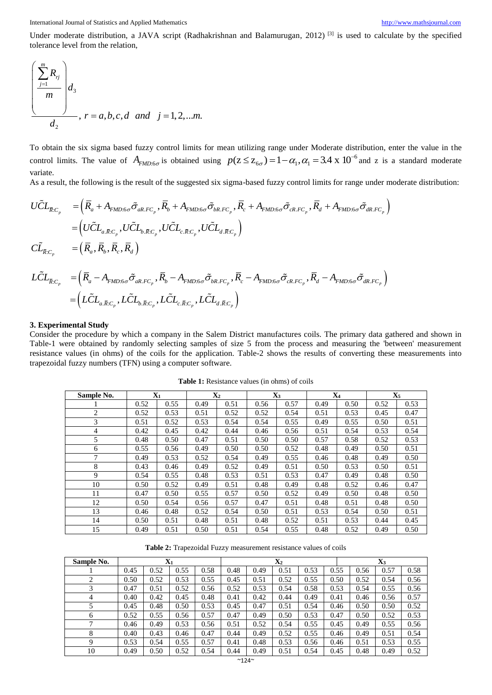International Journal of Statistics and Applied Mathematics [http://www.mathsjournal.com](http://www.mathsjournal.com/)

Under moderate distribution, a JAVA script (Radhakrishnan and Balamurugan, 2012)<sup>[3]</sup> is used to calculate by the specified tolerance level from the relation,

$$
\left(\frac{\sum_{j=1}^{m} R_{ij}}{m}\right) d_3
$$
\n
$$
r = a, b, c, d \text{ and } j = 1, 2, \dots m.
$$

To obtain the six sigma based fuzzy control limits for mean utilizing range under Moderate distribution, enter the value in the control limits. The value of  $A_{FMD:6\sigma}$  is obtained using  $p(z \le z_{6\sigma}) = 1 - \alpha_1, \alpha_1 = 3.4 \times 10^{-6}$ an utilizing range under Moderate di<br> $p(\mathbf{z} \le \mathbf{z}_{6\sigma}) = 1 - \alpha_1, \alpha_1 = 3.4 \times 10$ ilizing range under Moderate distribution, enter the value in the<br>  $\le z_{6\sigma}$ ) =  $1-\alpha_1$ ,  $\alpha_1$  = 3.4 x 10<sup>-6</sup> and z is a standard moderate variate.

As a result, the following is the result of the suggested six sigma-based fuzzy control limits for range under moderate distribution:

control limits. The value of 
$$
A_{FMD:6\sigma}
$$
 is obtained using  $p(z \leq z_{6\sigma}) = 1 - \alpha_1, \alpha_1 = 3.4 \times 10^{-4}$  and z is a standa  
variate.  
As a result, the following is the result of the suggested six sigma-based fuzzy control limits for range under moderate  $U\tilde{C}L_{\bar{R}:C_p} = (\bar{R}_a + A_{FMD:6\sigma}\tilde{\sigma}_{aR.FC_p}, \bar{R}_b + A_{FMD:6\sigma}\tilde{\sigma}_{bR.FC_p}, \bar{R}_c + A_{FMD:6\sigma}\tilde{\sigma}_{cR.FC_p}, \bar{R}_d + A_{FMD:6\sigma}\tilde{\sigma}_{dR.FC_p})$   

$$
= (U\tilde{C}L_{a,\bar{R}:C_p}, U\tilde{C}L_{b,\bar{R}:C_p}, U\tilde{C}L_{c,\bar{R}:C_p}, U\tilde{C}L_{d,\bar{R}:C_p})
$$
  

$$
= (\bar{R}_a, \bar{R}_b, \bar{R}_c, \bar{R}_d)
$$
  

$$
L\tilde{C}L_{\bar{R}:C_p} = (\bar{R}_a - A_{FMD:6\sigma}\tilde{\sigma}_{aR.FC_p}, \bar{R}_b - A_{FMD:6\sigma}\tilde{\sigma}_{bR.FC_p}, \bar{R}_c - A_{FMD:6\sigma}\tilde{\sigma}_{cR.FC_p}, \bar{R}_d - A_{FMD:6\sigma}\tilde{\sigma}_{dR.FC_p})
$$
  

$$
= (L\tilde{C}L_{a,\bar{R}:C_p}, L\tilde{C}L_{b,\bar{R}:C_p}, L\tilde{C}L_{c,\bar{R}:C_p}, L\tilde{C}L_{d,\bar{R}:C_p})
$$

#### **3. Experimental Study**

Consider the procedure by which a company in the Salem District manufactures coils. The primary data gathered and shown in Table-1 were obtained by randomly selecting samples of size 5 from the process and measuring the 'between' measurement resistance values (in ohms) of the coils for the application. Table-2 shows the results of converting these measurements into trapezoidal fuzzy numbers (TFN) using a computer software.

| Sample No.     | $\mathbf{X}_1$ |      | $\mathbf{X}_2$ |      |      | $\mathbf{X}_3$ |      | $\mathbf{X}_4$ | $\mathbf{X}_5$ |      |  |
|----------------|----------------|------|----------------|------|------|----------------|------|----------------|----------------|------|--|
| 1              | 0.52           | 0.55 | 0.49           | 0.51 | 0.56 | 0.57           | 0.49 | 0.50           | 0.52           | 0.53 |  |
| 2              | 0.52           | 0.53 | 0.51           | 0.52 | 0.52 | 0.54           | 0.51 | 0.53           | 0.45           | 0.47 |  |
| 3              | 0.51           | 0.52 | 0.53           | 0.54 | 0.54 | 0.55           | 0.49 | 0.55           | 0.50           | 0.51 |  |
| $\overline{4}$ | 0.42           | 0.45 | 0.42           | 0.44 | 0.46 | 0.56           | 0.51 | 0.54           | 0.53           | 0.54 |  |
| 5              | 0.48           | 0.50 | 0.47           | 0.51 | 0.50 | 0.50           | 0.57 | 0.58           | 0.52           | 0.53 |  |
| 6              | 0.55           | 0.56 | 0.49           | 0.50 | 0.50 | 0.52           | 0.48 | 0.49           | 0.50           | 0.51 |  |
| 7              | 0.49           | 0.53 | 0.52           | 0.54 | 0.49 | 0.55           | 0.46 | 0.48           | 0.49           | 0.50 |  |
| 8              | 0.43           | 0.46 | 0.49           | 0.52 | 0.49 | 0.51           | 0.50 | 0.53           | 0.50           | 0.51 |  |
| 9              | 0.54           | 0.55 | 0.48           | 0.53 | 0.51 | 0.53           | 0.47 | 0.49           | 0.48           | 0.50 |  |
| 10             | 0.50           | 0.52 | 0.49           | 0.51 | 0.48 | 0.49           | 0.48 | 0.52           | 0.46           | 0.47 |  |
| 11             | 0.47           | 0.50 | 0.55           | 0.57 | 0.50 | 0.52           | 0.49 | 0.50           | 0.48           | 0.50 |  |
| 12             | 0.50           | 0.54 | 0.56           | 0.57 | 0.47 | 0.51           | 0.48 | 0.51           | 0.48           | 0.50 |  |
| 13             | 0.46           | 0.48 | 0.52           | 0.54 | 0.50 | 0.51           | 0.53 | 0.54           | 0.50           | 0.51 |  |
| 14             | 0.50           | 0.51 | 0.48           | 0.51 | 0.48 | 0.52           | 0.51 | 0.53           | 0.44           | 0.45 |  |
| 15             | 0.49           | 0.51 | 0.50           | 0.51 | 0.54 | 0.55           | 0.48 | 0.52           | 0.49           | 0.50 |  |

**Table 1:** Resistance values (in ohms) of coils

**Table 2:** Trapezoidal Fuzzy measurement resistance values of coils

| Sample No. |      |      | $\mathbf{X}_1$ |      |      |      | $\mathbf{X}_2$ |      | $\mathbf{X}_3$ |      |      |      |
|------------|------|------|----------------|------|------|------|----------------|------|----------------|------|------|------|
|            | 0.45 | 0.52 | 0.55           | 0.58 | 0.48 | 0.49 | 0.51           | 0.53 | 0.55           | 0.56 | 0.57 | 0.58 |
|            | 0.50 | 0.52 | 0.53           | 0.55 | 0.45 | 0.51 | 0.52           | 0.55 | 0.50           | 0.52 | 0.54 | 0.56 |
| 3          | 0.47 | 0.51 | 0.52           | 0.56 | 0.52 | 0.53 | 0.54           | 0.58 | 0.53           | 0.54 | 0.55 | 0.56 |
| 4          | 0.40 | 0.42 | 0.45           | 0.48 | 0.41 | 0.42 | 0.44           | 0.49 | 0.41           | 0.46 | 0.56 | 0.57 |
|            | 0.45 | 0.48 | 0.50           | 0.53 | 0.45 | 0.47 | 0.51           | 0.54 | 0.46           | 0.50 | 0.50 | 0.52 |
| 6          | 0.52 | 0.55 | 0.56           | 0.57 | 0.47 | 0.49 | 0.50           | 0.53 | 0.47           | 0.50 | 0.52 | 0.53 |
|            | 0.46 | 0.49 | 0.53           | 0.56 | 0.51 | 0.52 | 0.54           | 0.55 | 0.45           | 0.49 | 0.55 | 0.56 |
| 8          | 0.40 | 0.43 | 0.46           | 0.47 | 0.44 | 0.49 | 0.52           | 0.55 | 0.46           | 0.49 | 0.51 | 0.54 |
| 9          | 0.53 | 0.54 | 0.55           | 0.57 | 0.41 | 0.48 | 0.53           | 0.56 | 0.46           | 0.51 | 0.53 | 0.55 |
| 10         | 0.49 | 0.50 | 0.52           | 0.54 | 0.44 | 0.49 | 0.51           | 0.54 | 0.45           | 0.48 | 0.49 | 0.52 |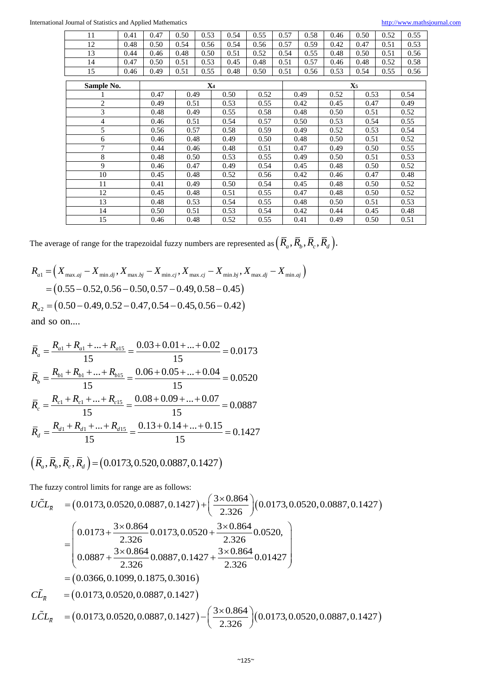| 11             | 0.41 | 0.47 | 0.50 | 0.53  | 0.54 | 0.55 |      | 0.57 | 0.58 | 0.46         | 0.50  | 0.52 |      | 0.55 |  |
|----------------|------|------|------|-------|------|------|------|------|------|--------------|-------|------|------|------|--|
| 12             | 0.48 | 0.50 | 0.54 | 0.56  | 0.54 | 0.56 |      | 0.57 | 0.59 | 0.42         | 0.47  | 0.51 |      | 0.53 |  |
| 13             | 0.44 | 0.46 | 0.48 | 0.50  | 0.51 | 0.52 |      | 0.54 | 0.55 | 0.48         | 0.50  | 0.51 |      | 0.56 |  |
| 14             | 0.47 | 0.50 | 0.51 | 0.53  | 0.45 | 0.48 |      | 0.51 | 0.57 | 0.46         | 0.48  | 0.52 |      | 0.58 |  |
| 15             | 0.46 | 0.49 | 0.51 | 0.55  | 0.48 | 0.50 |      | 0.51 | 0.56 | 0.53         | 0.54  | 0.55 |      | 0.56 |  |
| Sample No.     |      |      |      | $X_4$ |      |      |      |      |      |              | $X_5$ |      |      |      |  |
|                |      |      |      |       |      |      |      |      |      |              |       |      |      |      |  |
|                |      | 0.47 | 0.49 |       | 0.50 | 0.52 |      | 0.49 |      | 0.53<br>0.52 |       | 0.54 |      |      |  |
| $\overline{c}$ |      | 0.49 | 0.51 |       | 0.53 | 0.55 |      | 0.42 |      | 0.45         |       | 0.47 |      | 0.49 |  |
| 3              |      | 0.48 | 0.49 |       | 0.55 |      | 0.58 |      | 0.48 | 0.50         | 0.51  |      | 0.52 |      |  |
| 4              |      | 0.46 | 0.51 |       | 0.54 | 0.57 |      | 0.50 |      | 0.53         | 0.54  |      | 0.55 |      |  |
| 5              |      | 0.56 |      | 0.57  |      | 0.59 |      | 0.49 |      | 0.52         | 0.53  |      |      | 0.54 |  |
| 6              |      | 0.46 | 0.48 |       | 0.49 | 0.50 |      | 0.48 |      | 0.50         |       | 0.51 |      | 0.52 |  |
| 7              |      | 0.44 | 0.46 |       | 0.48 | 0.51 |      | 0.47 |      | 0.49         | 0.50  |      | 0.55 |      |  |
| 8              |      | 0.48 |      | 0.50  |      | 0.55 |      |      | 0.49 | 0.50         | 0.51  |      | 0.53 |      |  |
| 9              |      | 0.46 | 0.47 |       | 0.49 | 0.54 |      | 0.45 |      | 0.48         | 0.50  |      | 0.52 |      |  |
| 10             |      | 0.45 |      | 0.48  |      | 0.56 |      | 0.42 |      | 0.46         | 0.47  |      | 0.48 |      |  |
| 11             | 0.41 |      | 0.49 |       | 0.50 | 0.54 |      | 0.45 |      | 0.48         |       | 0.50 |      | 0.52 |  |
| 12             | 0.45 |      |      | 0.48  |      | 0.55 |      | 0.47 |      | 0.48         |       | 0.50 |      | 0.52 |  |
| 13             |      | 0.48 | 0.53 |       | 0.54 | 0.55 |      | 0.48 |      | 0.50         | 0.51  |      | 0.53 |      |  |
| 14             |      | 0.50 | 0.51 |       | 0.53 | 0.54 |      | 0.42 |      | 0.44         |       | 0.45 |      | 0.48 |  |
| 15             |      | 0.46 | 0.48 |       | 0.52 | 0.55 |      | 0.41 |      | 0.49         | 0.50  |      | 0.51 |      |  |

The average of range for the trapezoidal fuzzy numbers are represented as 
$$
(\bar{R}_a, \bar{R}_b, \bar{R}_c, \bar{R}_d)
$$
.  
\n
$$
R_{a1} = (X_{\max.aj} - X_{\min.dj}, X_{\max.bj} - X_{\min.cj}, X_{\max.cj} - X_{\min.bj}, X_{\max.dj} - X_{\min.aj})
$$
\n
$$
= (0.55 - 0.52, 0.56 - 0.50, 0.57 - 0.49, 0.58 - 0.45)
$$
\n
$$
R_{a2} = (0.50 - 0.49, 0.52 - 0.47, 0.54 - 0.45, 0.56 - 0.42)
$$
\nand so on

and so on....

and so on....  
\n
$$
\overline{R}_a = \frac{R_{a1} + R_{a1} + \dots + R_{a15}}{15} = \frac{0.03 + 0.01 + \dots + 0.02}{15} = 0.0173
$$
\n
$$
\overline{R}_b = \frac{R_{b1} + R_{b1} + \dots + R_{b15}}{15} = \frac{0.06 + 0.05 + \dots + 0.04}{15} = 0.0520
$$
\n
$$
\overline{R}_c = \frac{R_{c1} + R_{c1} + \dots + R_{c15}}{15} = \frac{0.08 + 0.09 + \dots + 0.07}{15} = 0.0887
$$
\n
$$
\overline{R}_d = \frac{R_{d1} + R_{d1} + \dots + R_{d15}}{15} = \frac{0.13 + 0.14 + \dots + 0.15}{15} = 0.1427
$$

<sup>13</sup><br> $\left(\bar{R}_a, \bar{R}_b, \bar{R}_c, \bar{R}_d\right) = (0.0173, 0.520, 0.0887, 0.1427)$ 

The fuzzy control limits for range are as follows:

$$
(\overline{R}_a, \overline{R}_b, \overline{R}_c, \overline{R}_d) = (0.0173, 0.520, 0.0887, 0.1427)
$$
  
The fuzzy control limits for range are as follows:  

$$
U\tilde{C}L_{\overline{R}} = (0.0173, 0.0520, 0.0887, 0.1427) + \left(\frac{3 \times 0.864}{2.326}\right)(0.0173, 0.0520, 0.0887, 0.1427)
$$

$$
= \left(0.0173 + \frac{3 \times 0.864}{2.326} 0.0173, 0.0520 + \frac{3 \times 0.864}{2.326} 0.0520, \right)
$$

$$
= 0.0887 + \frac{3 \times 0.864}{2.326} 0.0887, 0.1427 + \frac{3 \times 0.864}{2.326} 0.01427\right)
$$

$$
= (0.0366, 0.1099, 0.1875, 0.3016)
$$

$$
\tilde{C}\tilde{L}_{\overline{R}} = (0.0173, 0.0520, 0.0887, 0.1427) - \left(\frac{3 \times 0.864}{2.326}\right)(0.0173, 0.0520, 0.0887, 0.1427)
$$

$$
L\tilde{C}L_{\overline{R}} = (0.0173, 0.0520, 0.0887, 0.1427) - \left(\frac{3 \times 0.864}{2.326}\right)(0.0173, 0.0520, 0.0887, 0.1427)
$$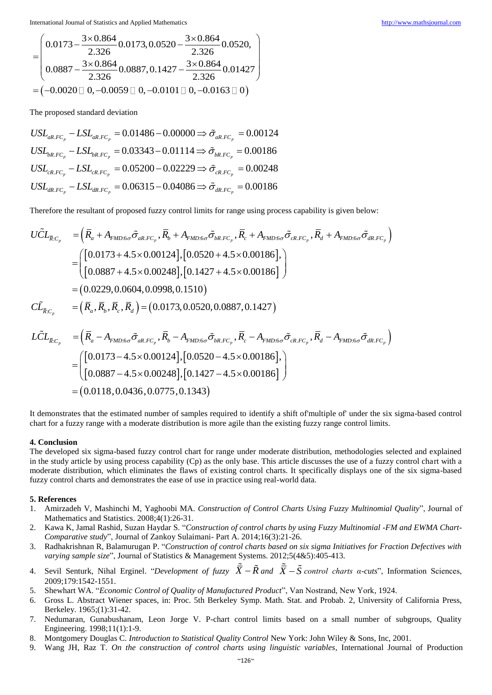3 0.864 0.0173,0.0520,0.0887,0.1427 0.0173,0.0520,0.0887,0.1427 atics and the contract of the contract of the contract of the contract of the contract of the contract of the contract of the contract of the contract of the contract of the contract of the contract of the contract of the International Journal of Statistics and Applied Mathematics<br>  $(2.00864)$ 

International Journal of Statistics and Applied Mathematics

\n
$$
= \left(\n\begin{array}{l}\n0.0173 - \frac{3 \times 0.864}{2.326} 0.0173, 0.0520 - \frac{3 \times 0.864}{2.326} 0.0520, \\
0.0887 - \frac{3 \times 0.864}{2.326} 0.0887, 0.1427 - \frac{3 \times 0.864}{2.326} 0.01427\n\end{array}\n\right)
$$
\n
$$
= (-0.0020 \Box 0, -0.0059 \Box 0, -0.0101 \Box 0, -0.0163 \Box 0)
$$

The proposed standard deviation

pposed standard deviation<br>  $_{.FC_p} - LSL_{aR,FC_p} = 0.01486 - 0.00000 \Rightarrow \tilde{\sigma}_{aR,FC_p} = 0.00124$  $USL_{bR,FC_p} - LSL_{bR,FC_p} = 0.03343 - 0.01114 \Rightarrow \tilde{\sigma}_{bR,FC_p}$ <br>  $USL_{cR,FC_p} - LSL_{cR,FC_p} = 0.05200 - 0.02229 \Rightarrow \tilde{\sigma}_{cR,FC_p}$  $\sum_{i,C_p}^{\text{max.}} -LSL_{bR,FC_p} = 0.03343 - 0.01114 \Rightarrow \tilde{\sigma}_{bR,FC_p} = 0.00186$ <br> $\sum_{i,C_p} -LSL_{cR,FC_p} = 0.05200 - 0.02229 \Rightarrow \tilde{\sigma}_{cR,FC_p} = 0.00248$  $\frac{c_{R,FC_p}}{d_{dR,FC_p}} - LSL_{dR,FC_p} = 0.06315 - 0.04086 \Rightarrow \tilde{\sigma}_{dR,FC_p}$ The proposed standard deviation<br>  $USL_{aR.FC_p} - LSL_{aR.FC_p} = 0.01486 - 0.00000 \Rightarrow \tilde{\sigma}_{aR.FC_p} = 0.00124$ <br>  $USL_{bR.FC_p} - LSL_{bR.FC_p} = 0.03343 - 0.01114 \Rightarrow \tilde{\sigma}_{bR.FC_p} = 0.00186$  $USL_{cR,FC_p} - LSL_{cR,FC_p} = 0.05200 - 0.02229 \Rightarrow \tilde{\sigma}_{cR,FC_p}$ <br>  $USL_{dR,FC_p} - LSL_{dR,FC_p} = 0.06315 - 0.04086 \Rightarrow \tilde{\sigma}_{dR,FC_p}$  $USL_{aR.FC_p} - LSL$ <br> $USL_{bR.FC_p} - LSL$ σ σ σ σ ed standard deviation<br>--  $LSL_{aR,FC_p} = 0.01486 - 0.00000 \Rightarrow \tilde{\sigma}_{aR,FC_p} = 0.00124$  $-LSL_{aR,FC_p} = 0.01486 - 0.00000 \Rightarrow \tilde{\sigma}_{aR,FC_p} = 0.00124$ <br> $-LSL_{bR,FC_p} = 0.03343 - 0.01114 \Rightarrow \tilde{\sigma}_{bR,FC_p} = 0.00186$  $\sigma_{aR,FC_p}^{aR,FC_p} = 0.03343 - 0.01114 \Rightarrow \tilde{\sigma}_{bR,FC_p} = 0.00186$ <br>-  $LSL_{cR,FC_p} = 0.05200 - 0.02229 \Rightarrow \tilde{\sigma}_{cR,FC_p} = 0.00248$  $- LSL_{cR,FC_p} = 0.05200 - 0.02229 \Rightarrow \tilde{\sigma}_{cR,FC_p} = 0.00248$ <br> $- LSL_{dR,FC_p} = 0.06315 - 0.04086 \Rightarrow \tilde{\sigma}_{dR,FC_p} = 0.00186$ 

Therefore the resultant of proposed fuzzy control limits for range using process capability is given below:

$$
USL_{dR,FC_p} - LSL_{dR,FC_p} = 0.00515 - 0.04060 \rightarrow O_{dR,FC_p} = 0.00160
$$
  
\nTherefore the resultant of proposed fuzzy control limits for range using process capability is given below:  
\n
$$
UCL_{\bar{R}:C_p} = (\bar{R}_a + A_{FMD:6\sigma}\tilde{\sigma}_{aR,FC_p}, \bar{R}_b + A_{FMD:6\sigma}\tilde{\sigma}_{bR,FC_p}, \bar{R}_c + A_{FMD:6\sigma}\tilde{\sigma}_{cR,FC_p}, \bar{R}_d + A_{FMD:6\sigma}\tilde{\sigma}_{dR,FC_p})
$$
\n
$$
= \begin{pmatrix} [0.0173 + 4.5 \times 0.00124], [0.0520 + 4.5 \times 0.00186], \\ [0.0887 + 4.5 \times 0.00248], [0.1427 + 4.5 \times 0.00186] \end{pmatrix}
$$
\n
$$
= (0.0229, 0.0604, 0.0998, 0.1510)
$$
\n
$$
CL_{\bar{R}:C_p} = (\bar{R}_a, \bar{R}_b, \bar{R}_c, \bar{R}_d) = (0.0173, 0.0520, 0.0887, 0.1427)
$$
\n
$$
L\tilde{C}L_{\bar{R}:C_p} = (\bar{R}_a - A_{FMD:6\sigma}\tilde{\sigma}_{aR,FC_p}, \bar{R}_b - A_{FMD:6\sigma}\tilde{\sigma}_{bR,FC_p}, \bar{R}_c - A_{FMD:6\sigma}\tilde{\sigma}_{cR,FC_p}, \bar{R}_d - A_{FMD:6\sigma}\tilde{\sigma}_{dR,FC_p})
$$
\n
$$
= \begin{pmatrix} [0.0173 - 4.5 \times 0.00124], [0.0520 - 4.5 \times 0.00186], \\ [0.0887 - 4.5 \times 0.00248], [0.1427 - 4.5 \times 0.00186] \end{pmatrix}
$$
\n
$$
= (0.0118, 0.0436, 0.0775, 0.1343)
$$

It demonstrates that the estimated number of samples required to identify a shift of'multiple of' under the six sigma-based control chart for a fuzzy range with a moderate distribution is more agile than the existing fuzzy range control limits.

#### **4. Conclusion**

The developed six sigma-based fuzzy control chart for range under moderate distribution, methodologies selected and explained in the study article by using process capability (Cp) as the only base. This article discusses the use of a fuzzy control chart with a moderate distribution, which eliminates the flaws of existing control charts. It specifically displays one of the six sigma-based fuzzy control charts and demonstrates the ease of use in practice using real-world data.

#### **5. References**

- 1. Amirzadeh V, Mashinchi M, Yaghoobi MA. *Construction of Control Charts Using Fuzzy Multinomial Quality*", Journal of Mathematics and Statistics. 2008;4(1):26-31.
- 2. Kawa K, Jamal Rashid, Suzan Haydar S. "*Construction of control charts by using Fuzzy Multinomial -FM and EWMA Chart-Comparative study*", Journal of Zankoy Sulaimani- Part A. 2014;16(3):21-26.
- 3. Radhakrishnan R, Balamurugan P. "*Construction of control charts based on six sigma Initiatives for Fraction Defectives with varying sample size*", Journal of Statistics & Management Systems. 2012;5(4&5):405-413.
- 4. Sevil Senturk, Nihal Erginel. "*Development of fuzzy*  $\overline{X} \tilde{R}$  and  $\overline{X} \tilde{S}$  control charts a-cuts", Information Sciences, 2009;179:1542-1551.
- 5. Shewhart WA. "*Economic Control of Quality of Manufactured Product*", Van Nostrand, New York, 1924.
- 6. Gross L. Abstract Wiener spaces, in: Proc. 5th Berkeley Symp. Math. Stat. and Probab. 2, University of California Press, Berkeley. 1965;(1):31-42.
- 7. Nedumaran, Gunabushanam, Leon Jorge V. P-chart control limits based on a small number of subgroups, Quality Engineering. 1998;11(1):1-9.
- 8. Montgomery Douglas C. *Introduction to Statistical Quality Control* New York: John Wiley & Sons, Inc, 2001.
- 9. Wang JH, Raz T. *On the construction of control charts using linguistic variables*, International Journal of Production